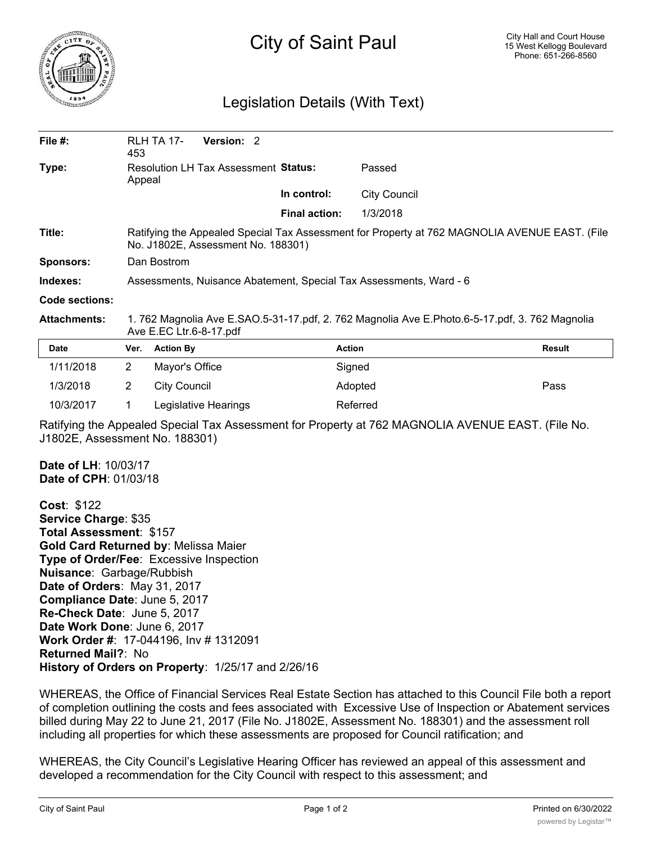

## City of Saint Paul

## Legislation Details (With Text)

| File $#$ :          | 453                                                                                                                                 | Version: 2<br>RLH TA 17- |                      |                     |        |
|---------------------|-------------------------------------------------------------------------------------------------------------------------------------|--------------------------|----------------------|---------------------|--------|
| Type:               | <b>Resolution LH Tax Assessment Status:</b><br>Appeal                                                                               |                          |                      | Passed              |        |
|                     |                                                                                                                                     |                          | In control:          | <b>City Council</b> |        |
|                     |                                                                                                                                     |                          | <b>Final action:</b> | 1/3/2018            |        |
| Title:              | Ratifying the Appealed Special Tax Assessment for Property at 762 MAGNOLIA AVENUE EAST. (File<br>No. J1802E, Assessment No. 188301) |                          |                      |                     |        |
| <b>Sponsors:</b>    | Dan Bostrom                                                                                                                         |                          |                      |                     |        |
| Indexes:            | Assessments, Nuisance Abatement, Special Tax Assessments, Ward - 6                                                                  |                          |                      |                     |        |
| Code sections:      |                                                                                                                                     |                          |                      |                     |        |
| <b>Attachments:</b> | 1. 762 Magnolia Ave E.SAO.5-31-17.pdf, 2. 762 Magnolia Ave E.Photo.6-5-17.pdf, 3. 762 Magnolia<br>Ave E.EC Ltr.6-8-17.pdf           |                          |                      |                     |        |
| <b>Date</b>         | Ver.                                                                                                                                | <b>Action By</b>         |                      | <b>Action</b>       | Result |
| 1/11/2018           | $\overline{2}$                                                                                                                      | Mayor's Office           |                      | Signed              |        |
| 1/3/2018            | $\overline{2}$                                                                                                                      | <b>City Council</b>      |                      | Adopted             | Pass   |
| 10/3/2017           |                                                                                                                                     | Legislative Hearings     |                      | Referred            |        |

Ratifying the Appealed Special Tax Assessment for Property at 762 MAGNOLIA AVENUE EAST. (File No. J1802E, Assessment No. 188301)

**Date of LH**: 10/03/17 **Date of CPH**: 01/03/18

**Cost**: \$122 **Service Charge**: \$35 **Total Assessment**: \$157 **Gold Card Returned by**: Melissa Maier **Type of Order/Fee**: Excessive Inspection **Nuisance**: Garbage/Rubbish **Date of Orders**: May 31, 2017 **Compliance Date**: June 5, 2017 **Re-Check Date**: June 5, 2017 **Date Work Done**: June 6, 2017 **Work Order #**: 17-044196, Inv # 1312091 **Returned Mail?**: No **History of Orders on Property**: 1/25/17 and 2/26/16

WHEREAS, the Office of Financial Services Real Estate Section has attached to this Council File both a report of completion outlining the costs and fees associated with Excessive Use of Inspection or Abatement services billed during May 22 to June 21, 2017 (File No. J1802E, Assessment No. 188301) and the assessment roll including all properties for which these assessments are proposed for Council ratification; and

WHEREAS, the City Council's Legislative Hearing Officer has reviewed an appeal of this assessment and developed a recommendation for the City Council with respect to this assessment; and